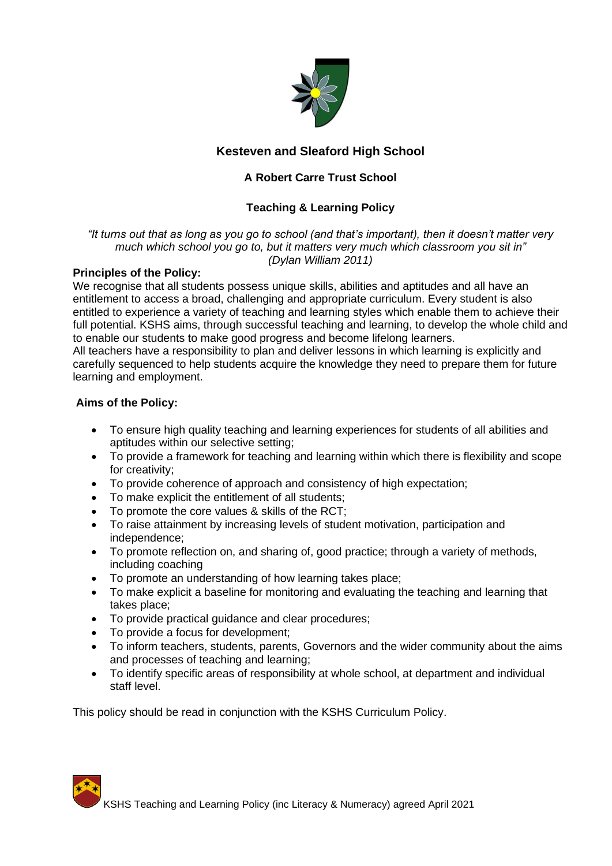

# **Kesteven and Sleaford High School**

# **A Robert Carre Trust School**

# **Teaching & Learning Policy**

#### *"It turns out that as long as you go to school (and that's important), then it doesn't matter very much which school you go to, but it matters very much which classroom you sit in" (Dylan William 2011)*

## **Principles of the Policy:**

We recognise that all students possess unique skills, abilities and aptitudes and all have an entitlement to access a broad, challenging and appropriate curriculum. Every student is also entitled to experience a variety of teaching and learning styles which enable them to achieve their full potential. KSHS aims, through successful teaching and learning, to develop the whole child and to enable our students to make good progress and become lifelong learners.

All teachers have a responsibility to plan and deliver lessons in which learning is explicitly and carefully sequenced to help students acquire the knowledge they need to prepare them for future learning and employment.

## **Aims of the Policy:**

- To ensure high quality teaching and learning experiences for students of all abilities and aptitudes within our selective setting;
- To provide a framework for teaching and learning within which there is flexibility and scope for creativity;
- To provide coherence of approach and consistency of high expectation;
- To make explicit the entitlement of all students;
- To promote the core values & skills of the RCT;
- To raise attainment by increasing levels of student motivation, participation and independence;
- To promote reflection on, and sharing of, good practice; through a variety of methods, including coaching
- To promote an understanding of how learning takes place;
- To make explicit a baseline for monitoring and evaluating the teaching and learning that takes place;
- To provide practical guidance and clear procedures;
- To provide a focus for development;
- To inform teachers, students, parents, Governors and the wider community about the aims and processes of teaching and learning;
- To identify specific areas of responsibility at whole school, at department and individual staff level.

This policy should be read in conjunction with the KSHS Curriculum Policy.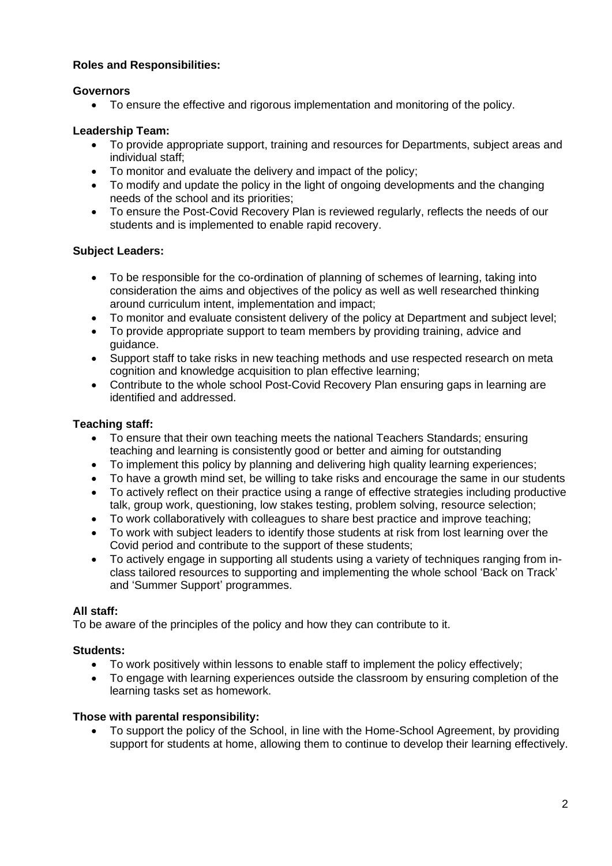# **Roles and Responsibilities:**

# **Governors**

• To ensure the effective and rigorous implementation and monitoring of the policy.

# **Leadership Team:**

- To provide appropriate support, training and resources for Departments, subject areas and individual staff;
- To monitor and evaluate the delivery and impact of the policy;
- To modify and update the policy in the light of ongoing developments and the changing needs of the school and its priorities;
- To ensure the Post-Covid Recovery Plan is reviewed regularly, reflects the needs of our students and is implemented to enable rapid recovery.

# **Subject Leaders:**

- To be responsible for the co-ordination of planning of schemes of learning, taking into consideration the aims and objectives of the policy as well as well researched thinking around curriculum intent, implementation and impact;
- To monitor and evaluate consistent delivery of the policy at Department and subject level;
- To provide appropriate support to team members by providing training, advice and guidance.
- Support staff to take risks in new teaching methods and use respected research on meta cognition and knowledge acquisition to plan effective learning;
- Contribute to the whole school Post-Covid Recovery Plan ensuring gaps in learning are identified and addressed.

# **Teaching staff:**

- To ensure that their own teaching meets the national Teachers Standards; ensuring teaching and learning is consistently good or better and aiming for outstanding
- To implement this policy by planning and delivering high quality learning experiences;
- To have a growth mind set, be willing to take risks and encourage the same in our students
- To actively reflect on their practice using a range of effective strategies including productive talk, group work, questioning, low stakes testing, problem solving, resource selection;
- To work collaboratively with colleagues to share best practice and improve teaching;
- To work with subject leaders to identify those students at risk from lost learning over the Covid period and contribute to the support of these students;
- To actively engage in supporting all students using a variety of techniques ranging from inclass tailored resources to supporting and implementing the whole school 'Back on Track' and 'Summer Support' programmes.

## **All staff:**

To be aware of the principles of the policy and how they can contribute to it.

# **Students:**

- To work positively within lessons to enable staff to implement the policy effectively;
- To engage with learning experiences outside the classroom by ensuring completion of the learning tasks set as homework.

## **Those with parental responsibility:**

• To support the policy of the School, in line with the Home-School Agreement, by providing support for students at home, allowing them to continue to develop their learning effectively.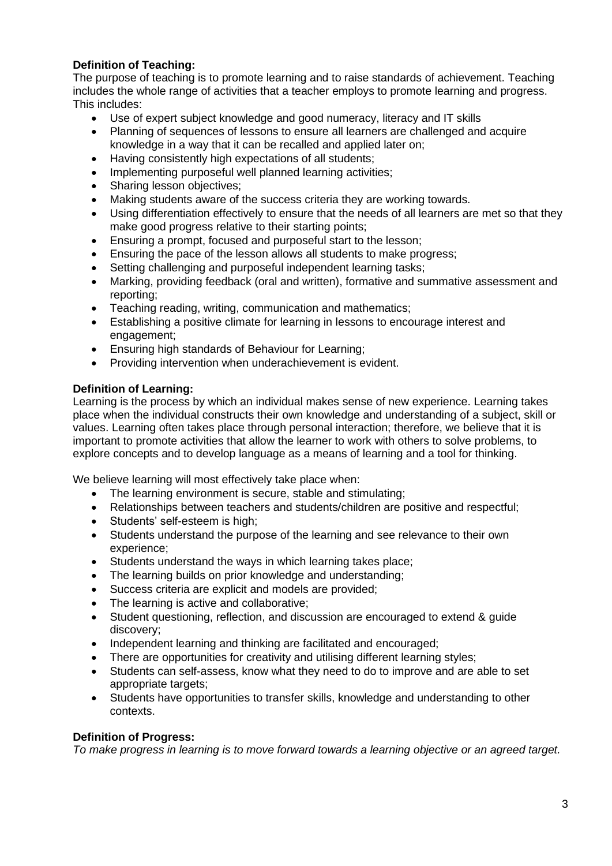# **Definition of Teaching:**

The purpose of teaching is to promote learning and to raise standards of achievement. Teaching includes the whole range of activities that a teacher employs to promote learning and progress. This includes:

- Use of expert subject knowledge and good numeracy, literacy and IT skills
- Planning of sequences of lessons to ensure all learners are challenged and acquire knowledge in a way that it can be recalled and applied later on;
- Having consistently high expectations of all students;
- Implementing purposeful well planned learning activities;
- Sharing lesson objectives;
- Making students aware of the success criteria they are working towards.
- Using differentiation effectively to ensure that the needs of all learners are met so that they make good progress relative to their starting points;
- Ensuring a prompt, focused and purposeful start to the lesson;
- Ensuring the pace of the lesson allows all students to make progress;
- Setting challenging and purposeful independent learning tasks:
- Marking, providing feedback (oral and written), formative and summative assessment and reporting;
- Teaching reading, writing, communication and mathematics;
- Establishing a positive climate for learning in lessons to encourage interest and engagement;
- Ensuring high standards of Behaviour for Learning;
- Providing intervention when underachievement is evident.

# **Definition of Learning:**

Learning is the process by which an individual makes sense of new experience. Learning takes place when the individual constructs their own knowledge and understanding of a subject, skill or values. Learning often takes place through personal interaction; therefore, we believe that it is important to promote activities that allow the learner to work with others to solve problems, to explore concepts and to develop language as a means of learning and a tool for thinking.

We believe learning will most effectively take place when:

- The learning environment is secure, stable and stimulating;
- Relationships between teachers and students/children are positive and respectful;
- Students' self-esteem is high;
- Students understand the purpose of the learning and see relevance to their own experience;
- Students understand the ways in which learning takes place;
- The learning builds on prior knowledge and understanding;
- Success criteria are explicit and models are provided;
- The learning is active and collaborative:
- Student questioning, reflection, and discussion are encouraged to extend & guide discovery;
- Independent learning and thinking are facilitated and encouraged;
- There are opportunities for creativity and utilising different learning styles;
- Students can self-assess, know what they need to do to improve and are able to set appropriate targets;
- Students have opportunities to transfer skills, knowledge and understanding to other contexts.

## **Definition of Progress:**

*To make progress in learning is to move forward towards a learning objective or an agreed target.*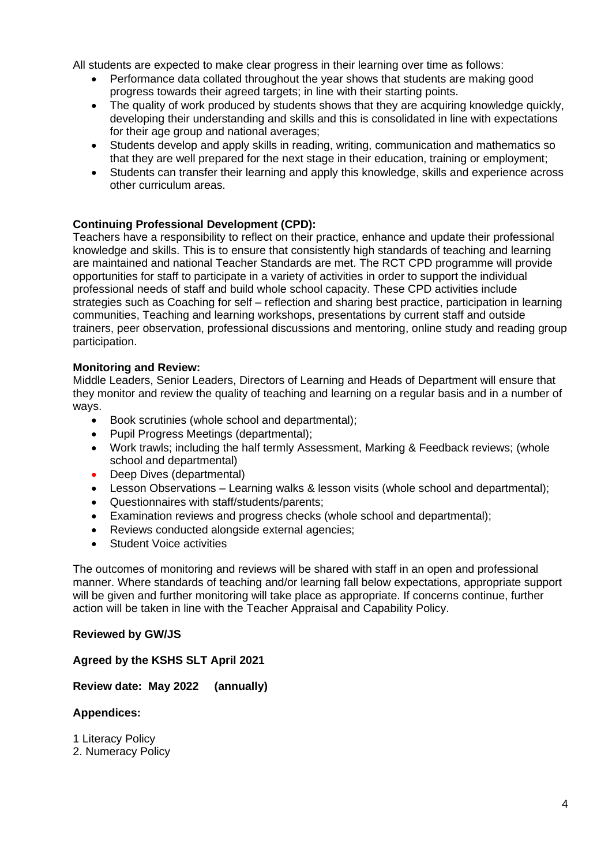All students are expected to make clear progress in their learning over time as follows:

- Performance data collated throughout the year shows that students are making good progress towards their agreed targets; in line with their starting points.
- The quality of work produced by students shows that they are acquiring knowledge quickly, developing their understanding and skills and this is consolidated in line with expectations for their age group and national averages;
- Students develop and apply skills in reading, writing, communication and mathematics so that they are well prepared for the next stage in their education, training or employment;
- Students can transfer their learning and apply this knowledge, skills and experience across other curriculum areas.

# **Continuing Professional Development (CPD):**

Teachers have a responsibility to reflect on their practice, enhance and update their professional knowledge and skills. This is to ensure that consistently high standards of teaching and learning are maintained and national Teacher Standards are met. The RCT CPD programme will provide opportunities for staff to participate in a variety of activities in order to support the individual professional needs of staff and build whole school capacity. These CPD activities include strategies such as Coaching for self – reflection and sharing best practice, participation in learning communities, Teaching and learning workshops, presentations by current staff and outside trainers, peer observation, professional discussions and mentoring, online study and reading group participation.

## **Monitoring and Review:**

Middle Leaders, Senior Leaders, Directors of Learning and Heads of Department will ensure that they monitor and review the quality of teaching and learning on a regular basis and in a number of ways.

- Book scrutinies (whole school and departmental);
- Pupil Progress Meetings (departmental);
- Work trawls; including the half termly Assessment, Marking & Feedback reviews; (whole school and departmental)
- Deep Dives (departmental)
- Lesson Observations Learning walks & lesson visits (whole school and departmental);
- Questionnaires with staff/students/parents;
- Examination reviews and progress checks (whole school and departmental);
- Reviews conducted alongside external agencies;
- Student Voice activities

The outcomes of monitoring and reviews will be shared with staff in an open and professional manner. Where standards of teaching and/or learning fall below expectations, appropriate support will be given and further monitoring will take place as appropriate. If concerns continue, further action will be taken in line with the Teacher Appraisal and Capability Policy.

## **Reviewed by GW/JS**

**Agreed by the KSHS SLT April 2021**

**Review date: May 2022 (annually)**

## **Appendices:**

1 Literacy Policy

2. Numeracy Policy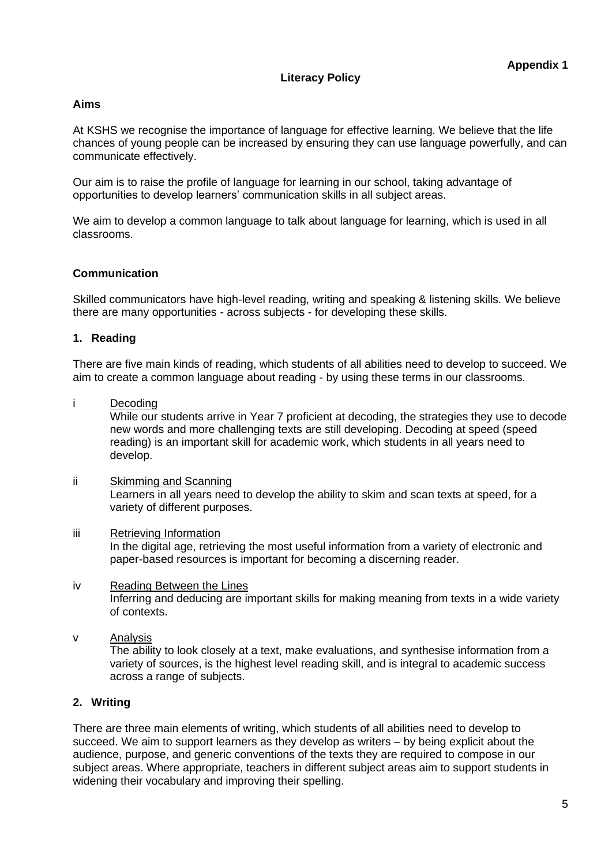## **Literacy Policy**

#### **Aims**

At KSHS we recognise the importance of language for effective learning. We believe that the life chances of young people can be increased by ensuring they can use language powerfully, and can communicate effectively.

Our aim is to raise the profile of language for learning in our school, taking advantage of opportunities to develop learners' communication skills in all subject areas.

We aim to develop a common language to talk about language for learning, which is used in all classrooms.

#### **Communication**

Skilled communicators have high-level reading, writing and speaking & listening skills. We believe there are many opportunities - across subjects - for developing these skills.

#### **1. Reading**

There are five main kinds of reading, which students of all abilities need to develop to succeed. We aim to create a common language about reading - by using these terms in our classrooms.

#### i Decoding

While our students arrive in Year 7 proficient at decoding, the strategies they use to decode new words and more challenging texts are still developing. Decoding at speed (speed reading) is an important skill for academic work, which students in all years need to develop.

ii Skimming and Scanning Learners in all years need to develop the ability to skim and scan texts at speed, for a variety of different purposes.

#### iii Retrieving Information

In the digital age, retrieving the most useful information from a variety of electronic and paper-based resources is important for becoming a discerning reader.

#### iv Reading Between the Lines Inferring and deducing are important skills for making meaning from texts in a wide variety of contexts.

v Analysis

The ability to look closely at a text, make evaluations, and synthesise information from a variety of sources, is the highest level reading skill, and is integral to academic success across a range of subjects.

## **2. Writing**

There are three main elements of writing, which students of all abilities need to develop to succeed. We aim to support learners as they develop as writers – by being explicit about the audience, purpose, and generic conventions of the texts they are required to compose in our subject areas. Where appropriate, teachers in different subject areas aim to support students in widening their vocabulary and improving their spelling.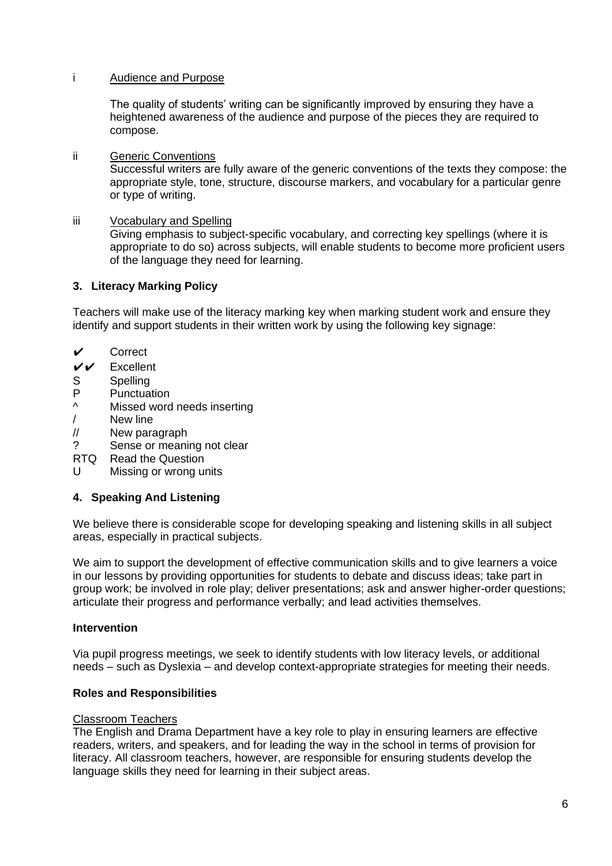## i Audience and Purpose

The quality of students' writing can be significantly improved by ensuring they have a heightened awareness of the audience and purpose of the pieces they are required to compose.

## ii Generic Conventions

Successful writers are fully aware of the generic conventions of the texts they compose: the appropriate style, tone, structure, discourse markers, and vocabulary for a particular genre or type of writing.

## iii Vocabulary and Spelling

Giving emphasis to subject-specific vocabulary, and correcting key spellings (where it is appropriate to do so) across subjects, will enable students to become more proficient users of the language they need for learning.

# **3. Literacy Marking Policy**

Teachers will make use of the literacy marking key when marking student work and ensure they identify and support students in their written work by using the following key signage:

- ✔ Correct
- ✔✔ Excellent
- S Spelling
- P Punctuation
- Missed word needs inserting
- / New line
- // New paragraph
- ? Sense or meaning not clear
- RTQ Read the Question
- U Missing or wrong units

# **4. Speaking And Listening**

We believe there is considerable scope for developing speaking and listening skills in all subject areas, especially in practical subjects.

We aim to support the development of effective communication skills and to give learners a voice in our lessons by providing opportunities for students to debate and discuss ideas; take part in group work; be involved in role play; deliver presentations; ask and answer higher-order questions; articulate their progress and performance verbally; and lead activities themselves.

## **Intervention**

Via pupil progress meetings, we seek to identify students with low literacy levels, or additional needs – such as Dyslexia – and develop context-appropriate strategies for meeting their needs.

## **Roles and Responsibilities**

## Classroom Teachers

The English and Drama Department have a key role to play in ensuring learners are effective readers, writers, and speakers, and for leading the way in the school in terms of provision for literacy. All classroom teachers, however, are responsible for ensuring students develop the language skills they need for learning in their subject areas.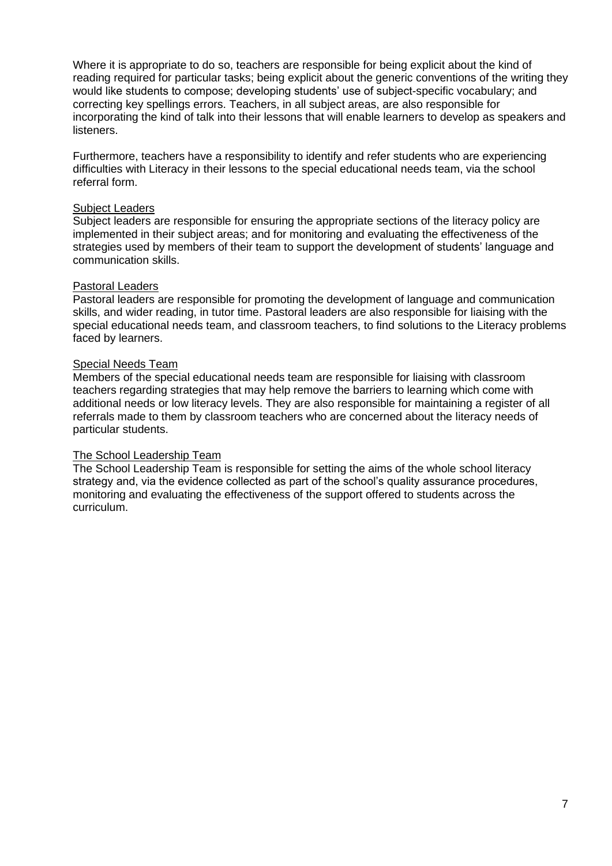Where it is appropriate to do so, teachers are responsible for being explicit about the kind of reading required for particular tasks; being explicit about the generic conventions of the writing they would like students to compose; developing students' use of subject-specific vocabulary; and correcting key spellings errors. Teachers, in all subject areas, are also responsible for incorporating the kind of talk into their lessons that will enable learners to develop as speakers and listeners.

Furthermore, teachers have a responsibility to identify and refer students who are experiencing difficulties with Literacy in their lessons to the special educational needs team, via the school referral form.

#### Subject Leaders

Subject leaders are responsible for ensuring the appropriate sections of the literacy policy are implemented in their subject areas; and for monitoring and evaluating the effectiveness of the strategies used by members of their team to support the development of students' language and communication skills.

#### Pastoral Leaders

Pastoral leaders are responsible for promoting the development of language and communication skills, and wider reading, in tutor time. Pastoral leaders are also responsible for liaising with the special educational needs team, and classroom teachers, to find solutions to the Literacy problems faced by learners.

#### Special Needs Team

Members of the special educational needs team are responsible for liaising with classroom teachers regarding strategies that may help remove the barriers to learning which come with additional needs or low literacy levels. They are also responsible for maintaining a register of all referrals made to them by classroom teachers who are concerned about the literacy needs of particular students.

## The School Leadership Team

The School Leadership Team is responsible for setting the aims of the whole school literacy strategy and, via the evidence collected as part of the school's quality assurance procedures, monitoring and evaluating the effectiveness of the support offered to students across the curriculum.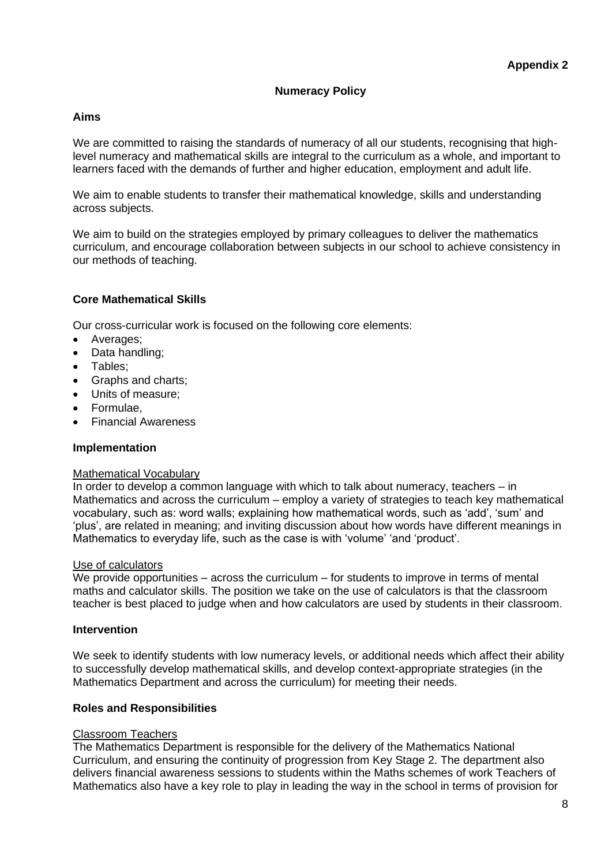## **Numeracy Policy**

## **Aims**

We are committed to raising the standards of numeracy of all our students, recognising that highlevel numeracy and mathematical skills are integral to the curriculum as a whole, and important to learners faced with the demands of further and higher education, employment and adult life.

We aim to enable students to transfer their mathematical knowledge, skills and understanding across subjects.

We aim to build on the strategies employed by primary colleagues to deliver the mathematics curriculum, and encourage collaboration between subjects in our school to achieve consistency in our methods of teaching.

#### **Core Mathematical Skills**

Our cross-curricular work is focused on the following core elements:

- Averages;
- Data handling;
- Tables;
- Graphs and charts;
- Units of measure;
- Formulae,
- Financial Awareness

#### **Implementation**

#### Mathematical Vocabulary

In order to develop a common language with which to talk about numeracy, teachers – in Mathematics and across the curriculum – employ a variety of strategies to teach key mathematical vocabulary, such as: word walls; explaining how mathematical words, such as 'add', 'sum' and 'plus', are related in meaning; and inviting discussion about how words have different meanings in Mathematics to everyday life, such as the case is with 'volume' 'and 'product'.

#### Use of calculators

We provide opportunities  $-$  across the curriculum  $-$  for students to improve in terms of mental maths and calculator skills. The position we take on the use of calculators is that the classroom teacher is best placed to judge when and how calculators are used by students in their classroom.

#### **Intervention**

We seek to identify students with low numeracy levels, or additional needs which affect their ability to successfully develop mathematical skills, and develop context-appropriate strategies (in the Mathematics Department and across the curriculum) for meeting their needs.

#### **Roles and Responsibilities**

#### Classroom Teachers

The Mathematics Department is responsible for the delivery of the Mathematics National Curriculum, and ensuring the continuity of progression from Key Stage 2. The department also delivers financial awareness sessions to students within the Maths schemes of work Teachers of Mathematics also have a key role to play in leading the way in the school in terms of provision for